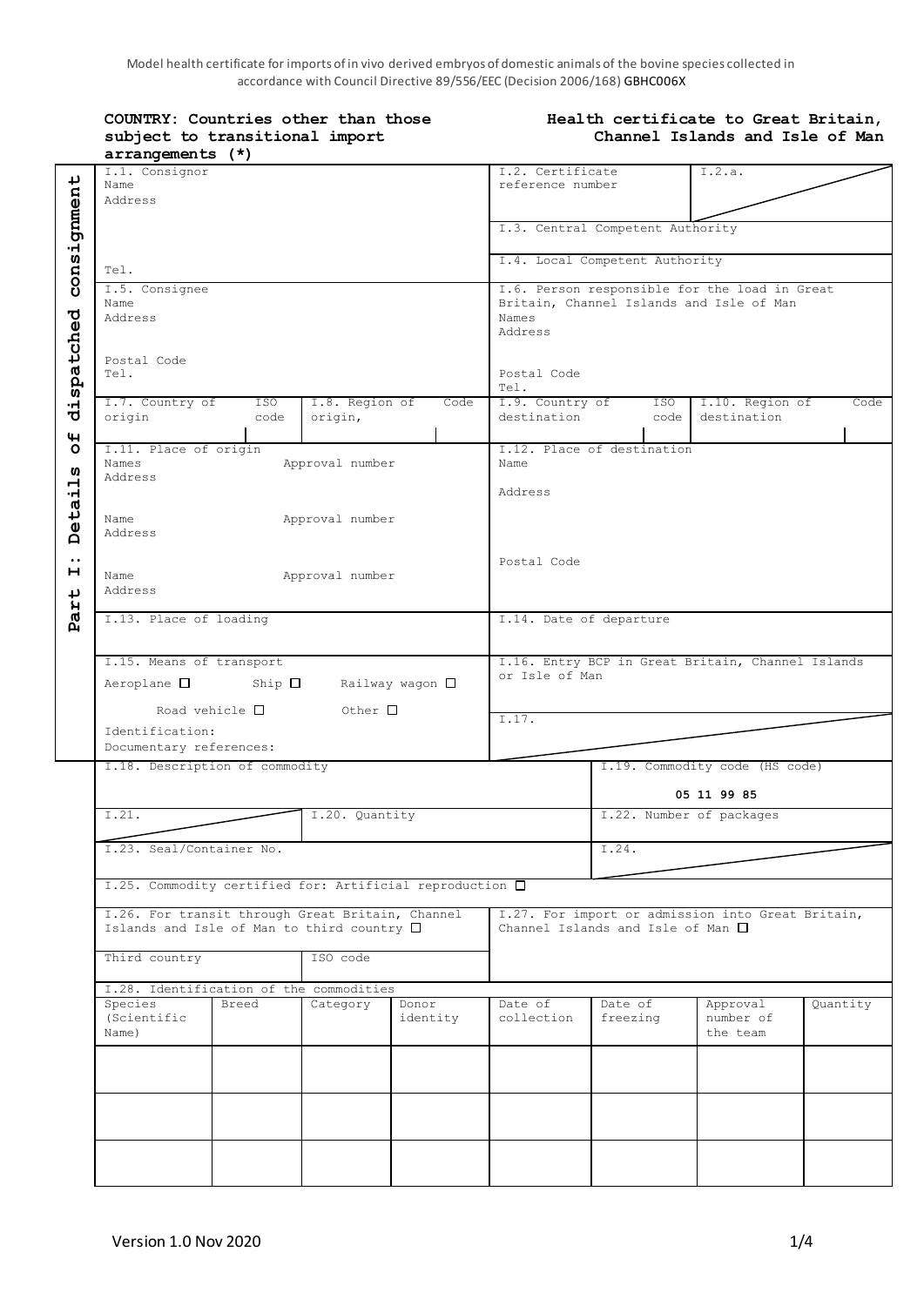Model health certificate for imports of in vivo derived embryos of domestic animals of the bovine species collected in accordance with Council Directive 89/556/EEC (Decision 2006/168) GBHC006X

| COUNTRY: Countries other than those<br>subject to transitional import<br>arrangements (*)              |                        |                           |                                                                                                               | Health certificate to Great Britain,<br>Channel Islands and Isle of Man |                                        |                                                   |          |  |
|--------------------------------------------------------------------------------------------------------|------------------------|---------------------------|---------------------------------------------------------------------------------------------------------------|-------------------------------------------------------------------------|----------------------------------------|---------------------------------------------------|----------|--|
| I.1. Consignor<br>Name<br>Address                                                                      |                        |                           | I.2. Certificate<br>I.2.a.<br>reference number                                                                |                                                                         |                                        |                                                   |          |  |
|                                                                                                        |                        |                           |                                                                                                               |                                                                         | I.3. Central Competent Authority       |                                                   |          |  |
| Tel.                                                                                                   |                        |                           |                                                                                                               |                                                                         | I.4. Local Competent Authority         |                                                   |          |  |
| I.5. Consignee<br>Name<br>Address                                                                      |                        |                           | I.6. Person responsible for the load in Great<br>Britain, Channel Islands and Isle of Man<br>Names<br>Address |                                                                         |                                        |                                                   |          |  |
| Postal Code<br>Tel.                                                                                    |                        |                           |                                                                                                               | Postal Code<br>Tel.                                                     |                                        |                                                   |          |  |
| I.7. Country of<br>origin                                                                              | ISO<br>code            | I.8. Region of<br>origin, | Code                                                                                                          | I.9. Country of<br>destination                                          | ISO I<br>code                          | I.10. Region of<br>destination                    | Code     |  |
| I.11. Place of origin<br>Names<br>Approval number<br>Address                                           |                        |                           | I.12. Place of destination<br>Name<br>Address                                                                 |                                                                         |                                        |                                                   |          |  |
| Approval number<br>Name<br>Address                                                                     |                        |                           | Postal Code                                                                                                   |                                                                         |                                        |                                                   |          |  |
| Approval number<br>Name<br>Address                                                                     |                        |                           |                                                                                                               |                                                                         |                                        |                                                   |          |  |
| I.13. Place of loading                                                                                 |                        |                           |                                                                                                               |                                                                         | I.14. Date of departure                |                                                   |          |  |
| I.15. Means of transport<br>$Aeroplane$ Ship $\Box$                                                    |                        |                           | Railway wagon $\square$                                                                                       | or Isle of Man                                                          |                                        | I.16. Entry BCP in Great Britain, Channel Islands |          |  |
| Identification:<br>Documentary references:                                                             | Road vehicle $\square$ | Other $\Box$              |                                                                                                               | I.17.                                                                   |                                        |                                                   |          |  |
| I.18. Description of commodity                                                                         |                        |                           |                                                                                                               |                                                                         |                                        | I.19. Commodity code (HS code)                    |          |  |
| I.21.<br>I.20. Quantity<br>I.23. Seal/Container No.                                                    |                        |                           | 05 11 99 85<br>I.22. Number of packages                                                                       |                                                                         |                                        |                                                   |          |  |
|                                                                                                        |                        |                           | I.24.                                                                                                         |                                                                         |                                        |                                                   |          |  |
| I.25. Commodity certified for: Artificial reproduction □                                               |                        |                           |                                                                                                               |                                                                         |                                        |                                                   |          |  |
| I.26. For transit through Great Britain, Channel<br>Islands and Isle of Man to third country $\square$ |                        |                           |                                                                                                               |                                                                         | Channel Islands and Isle of Man $\Box$ | I.27. For import or admission into Great Britain, |          |  |
| Third country<br>ISO code                                                                              |                        |                           |                                                                                                               |                                                                         |                                        |                                                   |          |  |
| I.28. Identification of the commodities                                                                |                        |                           |                                                                                                               |                                                                         |                                        |                                                   |          |  |
| Species<br>(Scientific<br>Name)                                                                        | <b>Breed</b>           | Category                  | Donor<br>identity                                                                                             | Date of<br>collection                                                   | Date of<br>freezing                    | Approval<br>number of<br>the team                 | Quantity |  |
|                                                                                                        |                        |                           |                                                                                                               |                                                                         |                                        |                                                   |          |  |
|                                                                                                        |                        |                           |                                                                                                               |                                                                         |                                        |                                                   |          |  |
|                                                                                                        |                        |                           |                                                                                                               |                                                                         |                                        |                                                   |          |  |
|                                                                                                        |                        |                           |                                                                                                               |                                                                         |                                        |                                                   |          |  |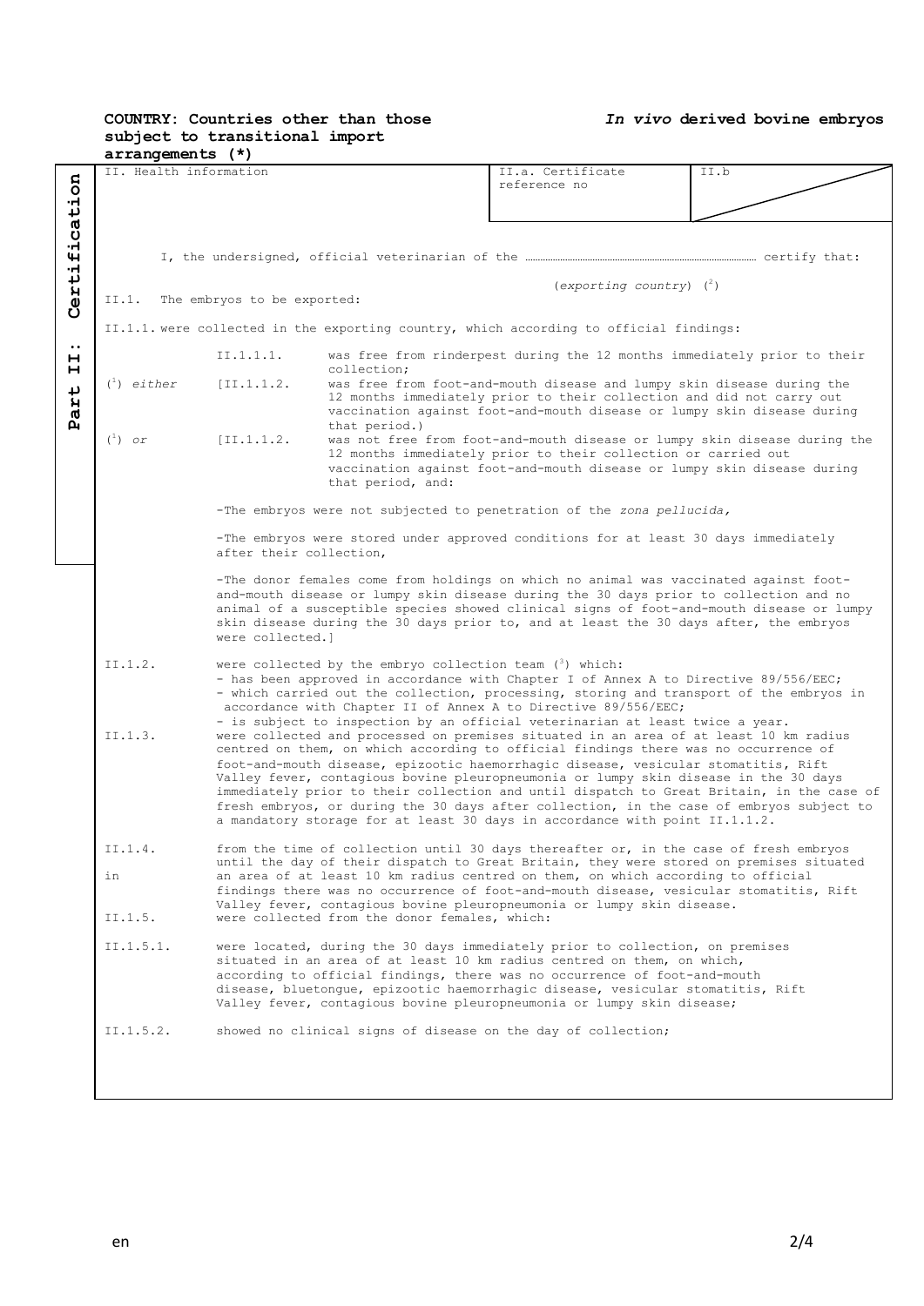## **COUNTRY: Countries other than those subject to transitional import**

*In vivo* **derived bovine embryos**

|                                           | $arrangements (*)$                                                                                                                                                                                                                                                      |                                                                                       |                                                                        |                                                                                                                                                                             |      |  |  |
|-------------------------------------------|-------------------------------------------------------------------------------------------------------------------------------------------------------------------------------------------------------------------------------------------------------------------------|---------------------------------------------------------------------------------------|------------------------------------------------------------------------|-----------------------------------------------------------------------------------------------------------------------------------------------------------------------------|------|--|--|
|                                           | II. Health information                                                                                                                                                                                                                                                  |                                                                                       |                                                                        | II.a. Certificate                                                                                                                                                           | II.b |  |  |
|                                           |                                                                                                                                                                                                                                                                         |                                                                                       |                                                                        | reference no                                                                                                                                                                |      |  |  |
|                                           |                                                                                                                                                                                                                                                                         |                                                                                       |                                                                        |                                                                                                                                                                             |      |  |  |
| ertification                              |                                                                                                                                                                                                                                                                         |                                                                                       |                                                                        |                                                                                                                                                                             |      |  |  |
|                                           |                                                                                                                                                                                                                                                                         |                                                                                       |                                                                        |                                                                                                                                                                             |      |  |  |
|                                           |                                                                                                                                                                                                                                                                         |                                                                                       |                                                                        |                                                                                                                                                                             |      |  |  |
|                                           |                                                                                                                                                                                                                                                                         |                                                                                       |                                                                        |                                                                                                                                                                             |      |  |  |
|                                           |                                                                                                                                                                                                                                                                         |                                                                                       |                                                                        | $(exporting country)$ ( <sup>2</sup> )                                                                                                                                      |      |  |  |
| The embryos to be exported:<br>II.1.<br>ပ |                                                                                                                                                                                                                                                                         |                                                                                       |                                                                        |                                                                                                                                                                             |      |  |  |
|                                           | II.1.1. were collected in the exporting country, which according to official findings:                                                                                                                                                                                  |                                                                                       |                                                                        |                                                                                                                                                                             |      |  |  |
| $\bullet\bullet$                          |                                                                                                                                                                                                                                                                         |                                                                                       |                                                                        |                                                                                                                                                                             |      |  |  |
| н                                         |                                                                                                                                                                                                                                                                         | II.1.1.1.                                                                             | collection;                                                            | was free from rinderpest during the 12 months immediately prior to their                                                                                                    |      |  |  |
| н                                         | $\binom{1}{1}$ either                                                                                                                                                                                                                                                   | [II,1,1,2]                                                                            | was free from foot-and-mouth disease and lumpy skin disease during the |                                                                                                                                                                             |      |  |  |
| art                                       |                                                                                                                                                                                                                                                                         |                                                                                       |                                                                        | 12 months immediately prior to their collection and did not carry out                                                                                                       |      |  |  |
|                                           |                                                                                                                                                                                                                                                                         |                                                                                       |                                                                        | vaccination against foot-and-mouth disease or lumpy skin disease during                                                                                                     |      |  |  |
| д                                         |                                                                                                                                                                                                                                                                         |                                                                                       | that period.)                                                          |                                                                                                                                                                             |      |  |  |
|                                           | $\binom{1}{1}$ or                                                                                                                                                                                                                                                       | [II, 1, 1, 2,                                                                         |                                                                        | was not free from foot-and-mouth disease or lumpy skin disease during the                                                                                                   |      |  |  |
|                                           |                                                                                                                                                                                                                                                                         |                                                                                       |                                                                        | 12 months immediately prior to their collection or carried out<br>vaccination against foot-and-mouth disease or lumpy skin disease during                                   |      |  |  |
|                                           |                                                                                                                                                                                                                                                                         |                                                                                       | that period, and:                                                      |                                                                                                                                                                             |      |  |  |
|                                           |                                                                                                                                                                                                                                                                         |                                                                                       |                                                                        |                                                                                                                                                                             |      |  |  |
|                                           |                                                                                                                                                                                                                                                                         |                                                                                       |                                                                        | -The embryos were not subjected to penetration of the zona pellucida,                                                                                                       |      |  |  |
|                                           |                                                                                                                                                                                                                                                                         |                                                                                       |                                                                        |                                                                                                                                                                             |      |  |  |
|                                           | -The embryos were stored under approved conditions for at least 30 days immediately<br>after their collection,                                                                                                                                                          |                                                                                       |                                                                        |                                                                                                                                                                             |      |  |  |
|                                           |                                                                                                                                                                                                                                                                         |                                                                                       |                                                                        |                                                                                                                                                                             |      |  |  |
|                                           | -The donor females come from holdings on which no animal was vaccinated against foot-                                                                                                                                                                                   |                                                                                       |                                                                        |                                                                                                                                                                             |      |  |  |
|                                           |                                                                                                                                                                                                                                                                         |                                                                                       |                                                                        | and-mouth disease or lumpy skin disease during the 30 days prior to collection and no                                                                                       |      |  |  |
|                                           | animal of a susceptible species showed clinical signs of foot-and-mouth disease or lumpy<br>skin disease during the 30 days prior to, and at least the 30 days after, the embryos                                                                                       |                                                                                       |                                                                        |                                                                                                                                                                             |      |  |  |
|                                           |                                                                                                                                                                                                                                                                         | were collected.l                                                                      |                                                                        |                                                                                                                                                                             |      |  |  |
|                                           |                                                                                                                                                                                                                                                                         |                                                                                       |                                                                        |                                                                                                                                                                             |      |  |  |
|                                           | II.1.2.                                                                                                                                                                                                                                                                 | were collected by the embryo collection team $(3)$ which:                             |                                                                        |                                                                                                                                                                             |      |  |  |
|                                           |                                                                                                                                                                                                                                                                         | - has been approved in accordance with Chapter I of Annex A to Directive 89/556/EEC;  |                                                                        |                                                                                                                                                                             |      |  |  |
|                                           | - which carried out the collection, processing, storing and transport of the embryos in<br>accordance with Chapter II of Annex A to Directive 89/556/EEC;                                                                                                               |                                                                                       |                                                                        |                                                                                                                                                                             |      |  |  |
|                                           | - is subject to inspection by an official veterinarian at least twice a year.                                                                                                                                                                                           |                                                                                       |                                                                        |                                                                                                                                                                             |      |  |  |
|                                           | II.1.3.                                                                                                                                                                                                                                                                 | were collected and processed on premises situated in an area of at least 10 km radius |                                                                        |                                                                                                                                                                             |      |  |  |
|                                           | centred on them, on which according to official findings there was no occurrence of                                                                                                                                                                                     |                                                                                       |                                                                        |                                                                                                                                                                             |      |  |  |
|                                           | foot-and-mouth disease, epizootic haemorrhagic disease, vesicular stomatitis, Rift<br>Valley fever, contagious bovine pleuropneumonia or lumpy skin disease in the 30 days<br>immediately prior to their collection and until dispatch to Great Britain, in the case of |                                                                                       |                                                                        |                                                                                                                                                                             |      |  |  |
|                                           |                                                                                                                                                                                                                                                                         |                                                                                       |                                                                        |                                                                                                                                                                             |      |  |  |
|                                           | fresh embryos, or during the 30 days after collection, in the case of embryos subject to                                                                                                                                                                                |                                                                                       |                                                                        |                                                                                                                                                                             |      |  |  |
|                                           |                                                                                                                                                                                                                                                                         |                                                                                       |                                                                        | a mandatory storage for at least 30 days in accordance with point II.1.1.2.                                                                                                 |      |  |  |
|                                           |                                                                                                                                                                                                                                                                         |                                                                                       |                                                                        |                                                                                                                                                                             |      |  |  |
|                                           | II.1.4.                                                                                                                                                                                                                                                                 |                                                                                       |                                                                        | from the time of collection until 30 days thereafter or, in the case of fresh embryos                                                                                       |      |  |  |
|                                           | in                                                                                                                                                                                                                                                                      |                                                                                       |                                                                        | until the day of their dispatch to Great Britain, they were stored on premises situated<br>an area of at least 10 km radius centred on them, on which according to official |      |  |  |
|                                           |                                                                                                                                                                                                                                                                         |                                                                                       |                                                                        | findings there was no occurrence of foot-and-mouth disease, vesicular stomatitis, Rift                                                                                      |      |  |  |
|                                           |                                                                                                                                                                                                                                                                         |                                                                                       |                                                                        | Valley fever, contagious bovine pleuropneumonia or lumpy skin disease.                                                                                                      |      |  |  |
|                                           | II.1.5.                                                                                                                                                                                                                                                                 |                                                                                       | were collected from the donor females, which:                          |                                                                                                                                                                             |      |  |  |
|                                           |                                                                                                                                                                                                                                                                         |                                                                                       |                                                                        |                                                                                                                                                                             |      |  |  |
|                                           | II.1.5.1.                                                                                                                                                                                                                                                               |                                                                                       |                                                                        | were located, during the 30 days immediately prior to collection, on premises<br>situated in an area of at least 10 km radius centred on them, on which,                    |      |  |  |
|                                           |                                                                                                                                                                                                                                                                         |                                                                                       |                                                                        | according to official findings, there was no occurrence of foot-and-mouth                                                                                                   |      |  |  |
|                                           | disease, bluetonque, epizootic haemorrhagic disease, vesicular stomatitis, Rift                                                                                                                                                                                         |                                                                                       |                                                                        |                                                                                                                                                                             |      |  |  |
|                                           |                                                                                                                                                                                                                                                                         |                                                                                       |                                                                        | Valley fever, contagious bovine pleuropneumonia or lumpy skin disease;                                                                                                      |      |  |  |
|                                           | II.1.5.2.                                                                                                                                                                                                                                                               |                                                                                       |                                                                        |                                                                                                                                                                             |      |  |  |
|                                           |                                                                                                                                                                                                                                                                         |                                                                                       |                                                                        | showed no clinical signs of disease on the day of collection;                                                                                                               |      |  |  |
|                                           |                                                                                                                                                                                                                                                                         |                                                                                       |                                                                        |                                                                                                                                                                             |      |  |  |
|                                           |                                                                                                                                                                                                                                                                         |                                                                                       |                                                                        |                                                                                                                                                                             |      |  |  |
|                                           |                                                                                                                                                                                                                                                                         |                                                                                       |                                                                        |                                                                                                                                                                             |      |  |  |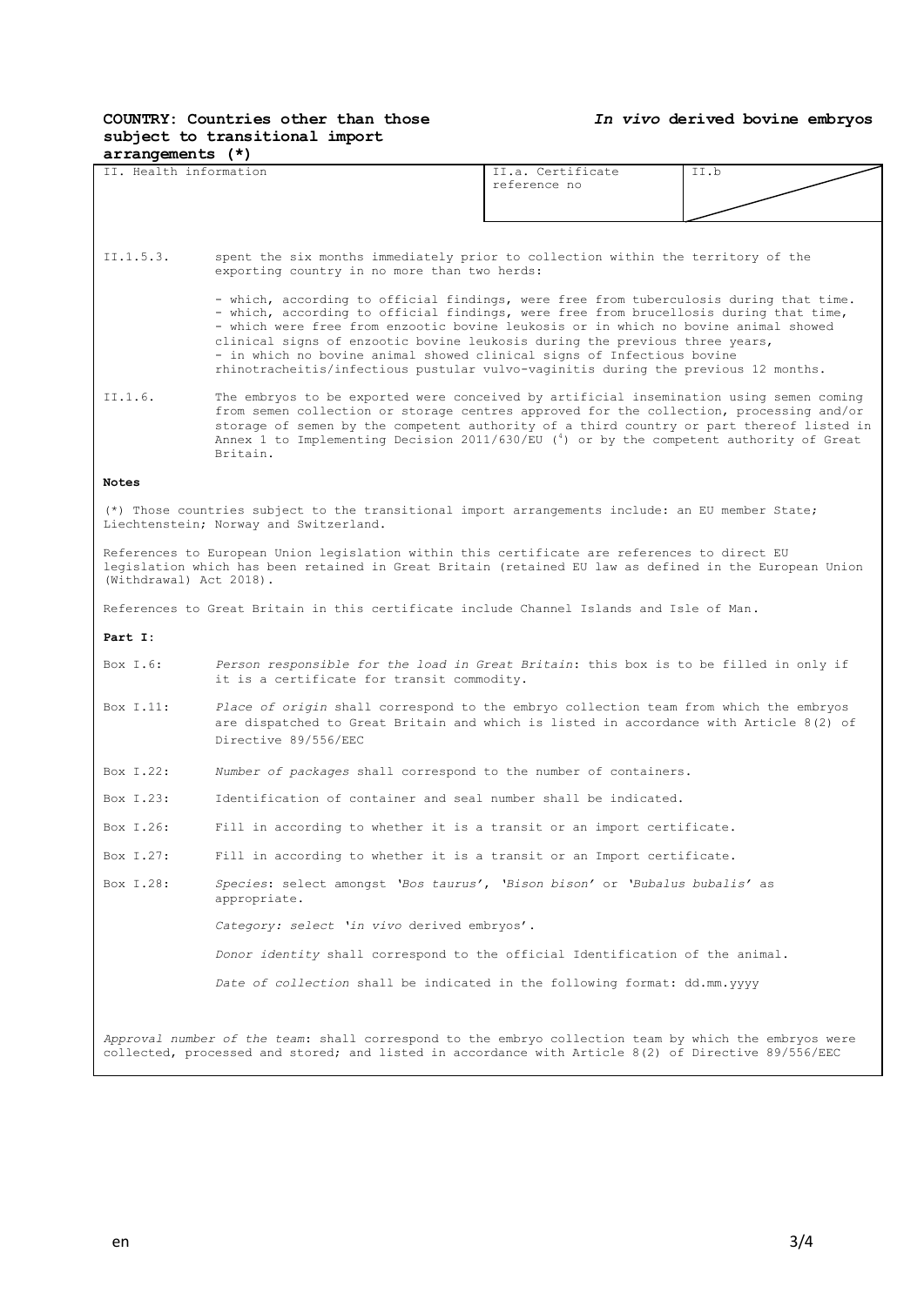## **COUNTRY: Countries other than those subject to transitional import**

*In vivo* **derived bovine embryos**

| $arrangements$ $(*)$                                                                                                                                                                                                              |                                                                                                                                                                                                                                                                                                                                                                                                                                                                                                                       |                                   |      |  |  |
|-----------------------------------------------------------------------------------------------------------------------------------------------------------------------------------------------------------------------------------|-----------------------------------------------------------------------------------------------------------------------------------------------------------------------------------------------------------------------------------------------------------------------------------------------------------------------------------------------------------------------------------------------------------------------------------------------------------------------------------------------------------------------|-----------------------------------|------|--|--|
| II. Health information                                                                                                                                                                                                            |                                                                                                                                                                                                                                                                                                                                                                                                                                                                                                                       | II.a. Certificate<br>reference no | II.b |  |  |
|                                                                                                                                                                                                                                   |                                                                                                                                                                                                                                                                                                                                                                                                                                                                                                                       |                                   |      |  |  |
|                                                                                                                                                                                                                                   |                                                                                                                                                                                                                                                                                                                                                                                                                                                                                                                       |                                   |      |  |  |
|                                                                                                                                                                                                                                   |                                                                                                                                                                                                                                                                                                                                                                                                                                                                                                                       |                                   |      |  |  |
| II.1.5.3.                                                                                                                                                                                                                         | spent the six months immediately prior to collection within the territory of the<br>exporting country in no more than two herds:                                                                                                                                                                                                                                                                                                                                                                                      |                                   |      |  |  |
|                                                                                                                                                                                                                                   | - which, according to official findings, were free from tuberculosis during that time.<br>- which, according to official findings, were free from brucellosis during that time,<br>- which were free from enzootic bovine leukosis or in which no bovine animal showed<br>clinical signs of enzootic bovine leukosis during the previous three years,<br>- in which no bovine animal showed clinical signs of Infectious bovine<br>rhinotracheitis/infectious pustular vulvo-vaginitis during the previous 12 months. |                                   |      |  |  |
| II.1.6.                                                                                                                                                                                                                           | The embryos to be exported were conceived by artificial insemination using semen coming<br>from semen collection or storage centres approved for the collection, processing and/or<br>storage of semen by the competent authority of a third country or part thereof listed in<br>Annex 1 to Implementing Decision 2011/630/EU (4) or by the competent authority of Great<br>Britain.                                                                                                                                 |                                   |      |  |  |
| <b>Notes</b>                                                                                                                                                                                                                      |                                                                                                                                                                                                                                                                                                                                                                                                                                                                                                                       |                                   |      |  |  |
| (*) Those countries subject to the transitional import arrangements include: an EU member State;<br>Liechtenstein; Norway and Switzerland.                                                                                        |                                                                                                                                                                                                                                                                                                                                                                                                                                                                                                                       |                                   |      |  |  |
| References to European Union legislation within this certificate are references to direct EU<br>legislation which has been retained in Great Britain (retained EU law as defined in the European Union<br>(Withdrawal) Act 2018). |                                                                                                                                                                                                                                                                                                                                                                                                                                                                                                                       |                                   |      |  |  |
| References to Great Britain in this certificate include Channel Islands and Isle of Man.                                                                                                                                          |                                                                                                                                                                                                                                                                                                                                                                                                                                                                                                                       |                                   |      |  |  |
| Part I:                                                                                                                                                                                                                           |                                                                                                                                                                                                                                                                                                                                                                                                                                                                                                                       |                                   |      |  |  |
| Box $I.6:$                                                                                                                                                                                                                        | Person responsible for the load in Great Britain: this box is to be filled in only if<br>it is a certificate for transit commodity.                                                                                                                                                                                                                                                                                                                                                                                   |                                   |      |  |  |
| Box I.11:                                                                                                                                                                                                                         | Place of origin shall correspond to the embryo collection team from which the embryos<br>are dispatched to Great Britain and which is listed in accordance with Article 8(2) of<br>Directive 89/556/EEC                                                                                                                                                                                                                                                                                                               |                                   |      |  |  |
| Box I.22:                                                                                                                                                                                                                         | Number of packages shall correspond to the number of containers.                                                                                                                                                                                                                                                                                                                                                                                                                                                      |                                   |      |  |  |
| Box T.23:                                                                                                                                                                                                                         | Identification of container and seal number shall be indicated.                                                                                                                                                                                                                                                                                                                                                                                                                                                       |                                   |      |  |  |
| Box I.26:                                                                                                                                                                                                                         | Fill in according to whether it is a transit or an import certificate.                                                                                                                                                                                                                                                                                                                                                                                                                                                |                                   |      |  |  |
| Box I.27:                                                                                                                                                                                                                         | Fill in according to whether it is a transit or an Import certificate.                                                                                                                                                                                                                                                                                                                                                                                                                                                |                                   |      |  |  |
| Box I.28:                                                                                                                                                                                                                         | Species: select amongst 'Bos taurus', 'Bison bison' or 'Bubalus bubalis' as<br>appropriate.                                                                                                                                                                                                                                                                                                                                                                                                                           |                                   |      |  |  |
|                                                                                                                                                                                                                                   | Category: select 'in vivo derived embryos'.                                                                                                                                                                                                                                                                                                                                                                                                                                                                           |                                   |      |  |  |
|                                                                                                                                                                                                                                   | Donor identity shall correspond to the official Identification of the animal.                                                                                                                                                                                                                                                                                                                                                                                                                                         |                                   |      |  |  |
|                                                                                                                                                                                                                                   | Date of collection shall be indicated in the following format: dd.mm.yyyy                                                                                                                                                                                                                                                                                                                                                                                                                                             |                                   |      |  |  |
| Approval number of the team: shall correspond to the embryo collection team by which the embryos were<br>collected, processed and stored; and listed in accordance with Article 8(2) of Directive 89/556/EEC                      |                                                                                                                                                                                                                                                                                                                                                                                                                                                                                                                       |                                   |      |  |  |